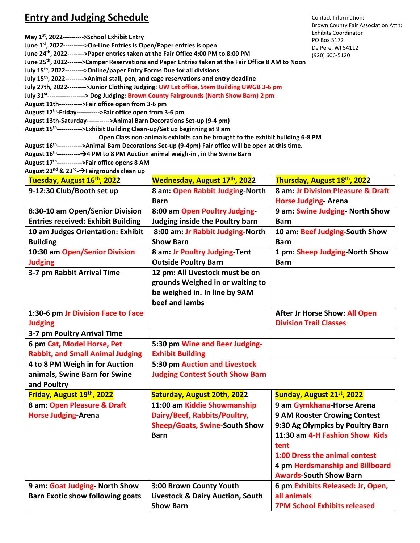## **Entry and Judging Schedule**

| May $1^{st}$ , 2022---------->School Exhibit Entry                                                                 | Exh<br>PO I |
|--------------------------------------------------------------------------------------------------------------------|-------------|
| June 1 <sup>st</sup> , 2022---------->On-Line Entries is Open/Paper entries is open                                | De l        |
| June 24 <sup>th</sup> , 2022-------->Paper entries taken at the Fair Office 4:00 PM to 8:00 PM                     | (920        |
| June 25 <sup>th</sup> , 2022------->Camper Reservations and Paper Entries taken at the Fair Office 8 AM to Noon    |             |
| July 15 <sup>th</sup> , 2022--------->Online/paper Entry Forms Due for all divisions                               |             |
| July 15 <sup>th</sup> , 2022--------->Animal stall, pen, and cage reservations and entry deadline                  |             |
| July 27th, 2022--------->Junior Clothing Judging: UW Ext office, Stem Building UWGB 3-6 pm                         |             |
| July 31 <sup>st</sup> -----------------> Dog Judging: Brown County Fairgrounds (North Show Barn) 2 pm              |             |
| August 11th----------->Fair office open from 3-6 pm                                                                |             |
| August 12 <sup>th</sup> -Friday----------->Fair office open from 3-6 pm                                            |             |
| August 13th-Saturday----------->Animal Barn Decorations Set-up (9-4 pm)                                            |             |
| August 15 <sup>th</sup> ------------>Exhibit Building Clean-up/Set up beginning at 9 am                            |             |
| Open Class non-animals exhibits can be brought to the exhibit building 6-8 PM                                      |             |
| August 16 <sup>th</sup> ------------>Animal Barn Decorations Set-up (9-4pm) Fair office will be open at this time. |             |

**August 16th -----------**→**4 PM to 8 PM Auction animal weigh-in , in the Swine Barn** 

**August 17 th ------------>Fair office opens 8 AM August 22nd & 23rd -**→**Fairgrounds clean up**

**Tuesday, August 16 Wednesday, August 17<sup>th</sup>, 202**2 **th, 2022 Thursday, August 18 th, 2022 9-12:30 Club/Booth set up 8 am: Open Rabbit Judging-North Barn 8 am: Jr Division Pleasure & Draft Horse Judging- Arena 8:30-10 am Open/Senior Division Entries received: Exhibit Building 8:00 am Open Poultry Judging-Judging inside the Poultry barn 9 am: Swine Judging- North Show Barn 10 am Judges Orientation: Exhibit Building 8:00 am: Jr Rabbit Judging-North Show Barn 10 am: Beef Judging-South Show Barn 10:30 am Open/Senior Division Judging 8 am: Jr Poultry Judging-Tent Outside Poultry Barn 1 pm: Sheep Judging-North Show Barn 3-7 pm Rabbit Arrival Time 12 pm: All Livestock must be on grounds Weighed in or waiting to be weighed in. In line by 9AM beef and lambs 1:30-6 pm Jr Division Face to Face Judging After Jr Horse Show: All Open Division Trail Classes 3-7 pm Poultry Arrival Time 6 pm Cat, Model Horse, Pet Rabbit, and Small Animal Judging 5:30 pm Wine and Beer Judging-Exhibit Building 4 to 8 PM Weigh in for Auction animals, Swine Barn for Swine and Poultry 5:30 pm Auction and Livestock Judging Contest South Show Barn Friday, August 19th, 2022 Saturday, August 20th, 2022 Sunday, August 21st, 2022 8 am: Open Pleasure & Draft Horse Judging-Arena 11:00 am Kiddie Showmanship Dairy/Beef, Rabbits/Poultry, Sheep/Goats, Swine-South Show Barn 9 am Gymkhana-Horse Arena 9 AM Rooster Crowing Contest 9:30 Ag Olympics by Poultry Barn 11:30 am 4-H Fashion Show Kids tent 1:00 Dress the animal contest 4 pm Herdsmanship and Billboard Awards-South Show Barn 9 am: Goat Judging- North Show Barn Exotic show following goats 3:00 Brown County Youth Livestock & Dairy Auction, South Show Barn 6 pm Exhibits Released: Jr, Open, all animals 7PM School Exhibits released**

Contact Information: Brown County Fair Association Attn: chibits Coordinator D Box 5172 e Pere, WI 54112 (920) 606-5120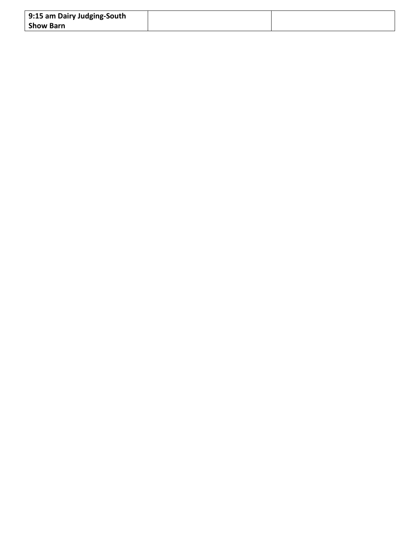| 9:15 am Dairy Judging-South |  |
|-----------------------------|--|
| <b>Show Barn</b>            |  |